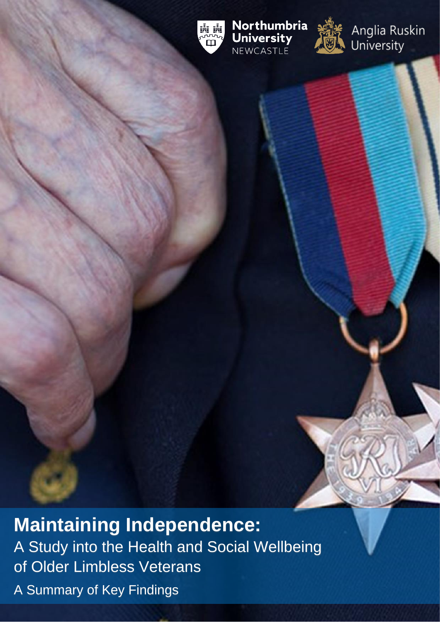

Northumbria **University** NEWCASTLE



Anglia Ruskin<br>University

**Maintaining Independence:**  A Study into the Health and Social Wellbeing of Older Limbless Veterans A Summary of Key Findings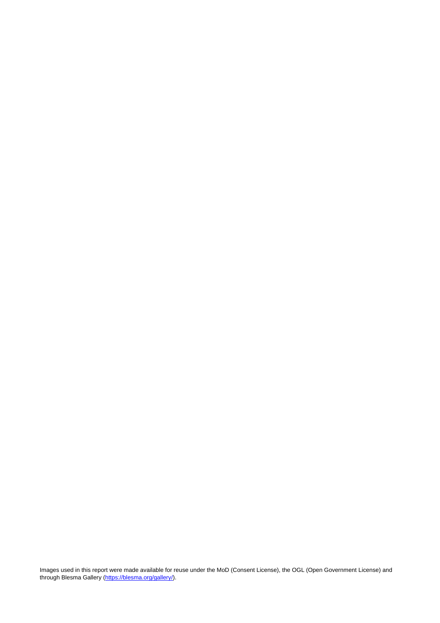Images used in this report were made available for reuse under the MoD (Consent License), the OGL (Open Government License) and through Blesma Gallery [\(https://blesma.org/gallery/\)](https://blesma.org/gallery/).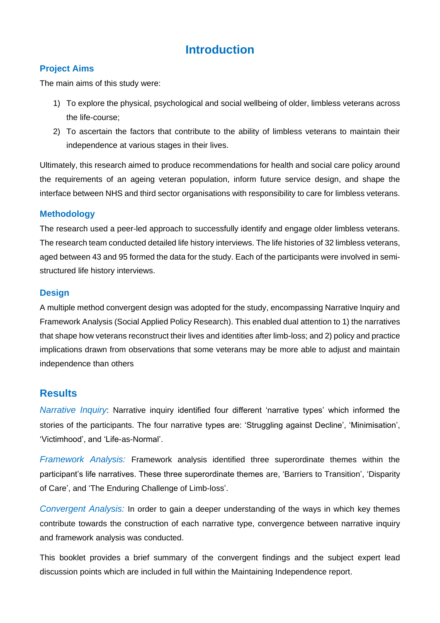# **Introduction**

### **Project Aims**

The main aims of this study were:

- 1) To explore the physical, psychological and social wellbeing of older, limbless veterans across the life-course;
- 2) To ascertain the factors that contribute to the ability of limbless veterans to maintain their independence at various stages in their lives.

Ultimately, this research aimed to produce recommendations for health and social care policy around the requirements of an ageing veteran population, inform future service design, and shape the interface between NHS and third sector organisations with responsibility to care for limbless veterans.

### **Methodology**

The research used a peer-led approach to successfully identify and engage older limbless veterans. The research team conducted detailed life history interviews. The life histories of 32 limbless veterans, aged between 43 and 95 formed the data for the study. Each of the participants were involved in semistructured life history interviews.

### **Design**

A multiple method convergent design was adopted for the study, encompassing Narrative Inquiry and Framework Analysis (Social Applied Policy Research). This enabled dual attention to 1) the narratives that shape how veterans reconstruct their lives and identities after limb-loss; and 2) policy and practice implications drawn from observations that some veterans may be more able to adjust and maintain independence than others

## **Results**

*Narrative Inquiry*: Narrative inquiry identified four different 'narrative types' which informed the stories of the participants. The four narrative types are: 'Struggling against Decline', 'Minimisation', 'Victimhood', and 'Life-as-Normal'.

*Framework Analysis:* Framework analysis identified three superordinate themes within the participant's life narratives. These three superordinate themes are, 'Barriers to Transition', 'Disparity of Care', and 'The Enduring Challenge of Limb-loss'.

*Convergent Analysis:* In order to gain a deeper understanding of the ways in which key themes contribute towards the construction of each narrative type, convergence between narrative inquiry and framework analysis was conducted.

This booklet provides a brief summary of the convergent findings and the subject expert lead discussion points which are included in full within the Maintaining Independence report.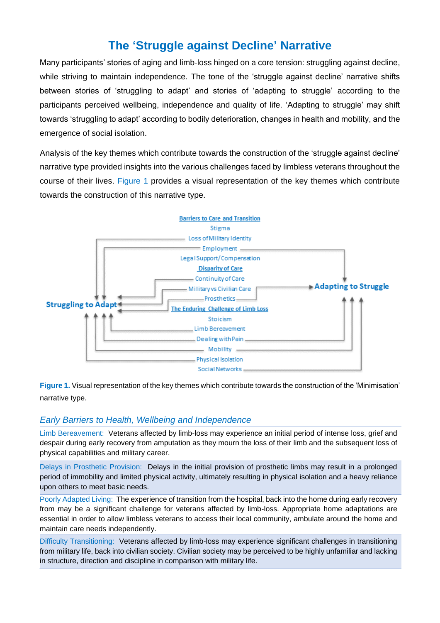# **The 'Struggle against Decline' Narrative**

Many participants' stories of aging and limb-loss hinged on a core tension: struggling against decline, while striving to maintain independence. The tone of the 'struggle against decline' narrative shifts between stories of 'struggling to adapt' and stories of 'adapting to struggle' according to the participants perceived wellbeing, independence and quality of life. 'Adapting to struggle' may shift towards 'struggling to adapt' according to bodily deterioration, changes in health and mobility, and the emergence of social isolation.

Analysis of the key themes which contribute towards the construction of the 'struggle against decline' narrative type provided insights into the various challenges faced by limbless veterans throughout the course of their lives. Figure 1 provides a visual representation of the key themes which contribute towards the construction of this narrative type.



**Figure 1.** Visual representation of the key themes which contribute towards the construction of the 'Minimisation' narrative type.

### *Early Barriers to Health, Wellbeing and Independence*

Limb Bereavement: Veterans affected by limb-loss may experience an initial period of intense loss, grief and despair during early recovery from amputation as they mourn the loss of their limb and the subsequent loss of physical capabilities and military career.

Delays in Prosthetic Provision: Delays in the initial provision of prosthetic limbs may result in a prolonged period of immobility and limited physical activity, ultimately resulting in physical isolation and a heavy reliance upon others to meet basic needs.

Poorly Adapted Living: The experience of transition from the hospital, back into the home during early recovery from may be a significant challenge for veterans affected by limb-loss. Appropriate home adaptations are essential in order to allow limbless veterans to access their local community, ambulate around the home and maintain care needs independently.

Difficulty Transitioning: Veterans affected by limb-loss may experience significant challenges in transitioning from military life, back into civilian society. Civilian society may be perceived to be highly unfamiliar and lacking in structure, direction and discipline in comparison with military life.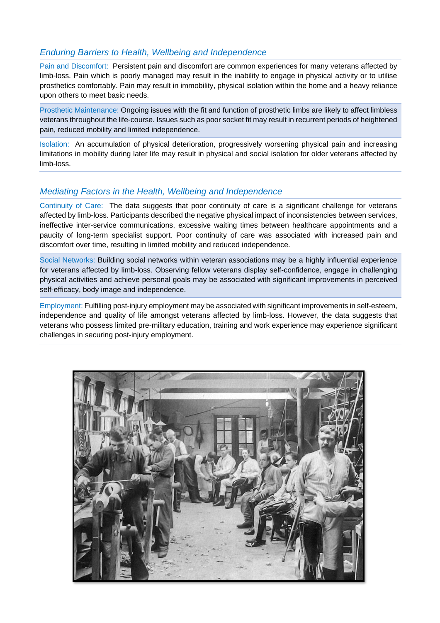## *Enduring Barriers to Health, Wellbeing and Independence*

Pain and Discomfort: Persistent pain and discomfort are common experiences for many veterans affected by limb-loss. Pain which is poorly managed may result in the inability to engage in physical activity or to utilise prosthetics comfortably. Pain may result in immobility, physical isolation within the home and a heavy reliance upon others to meet basic needs.

Prosthetic Maintenance: Ongoing issues with the fit and function of prosthetic limbs are likely to affect limbless veterans throughout the life-course. Issues such as poor socket fit may result in recurrent periods of heightened pain, reduced mobility and limited independence.

Isolation: An accumulation of physical deterioration, progressively worsening physical pain and increasing limitations in mobility during later life may result in physical and social isolation for older veterans affected by limb-loss.

### *Mediating Factors in the Health, Wellbeing and Independence*

Continuity of Care: The data suggests that poor continuity of care is a significant challenge for veterans affected by limb-loss. Participants described the negative physical impact of inconsistencies between services, ineffective inter-service communications, excessive waiting times between healthcare appointments and a paucity of long-term specialist support. Poor continuity of care was associated with increased pain and discomfort over time, resulting in limited mobility and reduced independence.

Social Networks: Building social networks within veteran associations may be a highly influential experience for veterans affected by limb-loss. Observing fellow veterans display self-confidence, engage in challenging physical activities and achieve personal goals may be associated with significant improvements in perceived self-efficacy, body image and independence.

Employment: Fulfilling post-injury employment may be associated with significant improvements in self-esteem, independence and quality of life amongst veterans affected by limb-loss. However, the data suggests that veterans who possess limited pre-military education, training and work experience may experience significant challenges in securing post-injury employment.

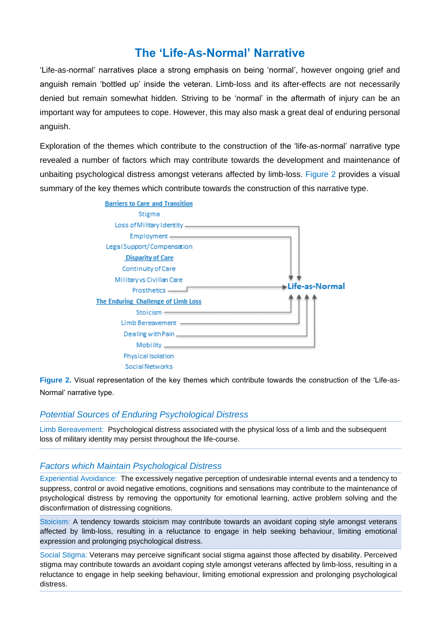# **The 'Life-As-Normal' Narrative**

'Life-as-normal' narratives place a strong emphasis on being 'normal', however ongoing grief and anguish remain 'bottled up' inside the veteran. Limb-loss and its after-effects are not necessarily denied but remain somewhat hidden. Striving to be 'normal' in the aftermath of injury can be an important way for amputees to cope. However, this may also mask a great deal of enduring personal anguish.

Exploration of the themes which contribute to the construction of the 'life-as-normal' narrative type revealed a number of factors which may contribute towards the development and maintenance of unbaiting psychological distress amongst veterans affected by limb-loss. Figure 2 provides a visual summary of the key themes which contribute towards the construction of this narrative type.



**Figure 2.** Visual representation of the key themes which contribute towards the construction of the 'Life-as-Normal' narrative type.

#### *Potential Sources of Enduring Psychological Distress*

Limb Bereavement: Psychological distress associated with the physical loss of a limb and the subsequent loss of military identity may persist throughout the life-course.

#### *Factors which Maintain Psychological Distress*

Experiential Avoidance: The excessively negative perception of undesirable internal events and a tendency to suppress, control or avoid negative emotions, cognitions and sensations may contribute to the maintenance of psychological distress by removing the opportunity for emotional learning, active problem solving and the disconfirmation of distressing cognitions.

Stoicism: A tendency towards stoicism may contribute towards an avoidant coping style amongst veterans affected by limb-loss, resulting in a reluctance to engage in help seeking behaviour, limiting emotional expression and prolonging psychological distress.

Social Stigma: Veterans may perceive significant social stigma against those affected by disability. Perceived stigma may contribute towards an avoidant coping style amongst veterans affected by limb-loss, resulting in a reluctance to engage in help seeking behaviour, limiting emotional expression and prolonging psychological distress.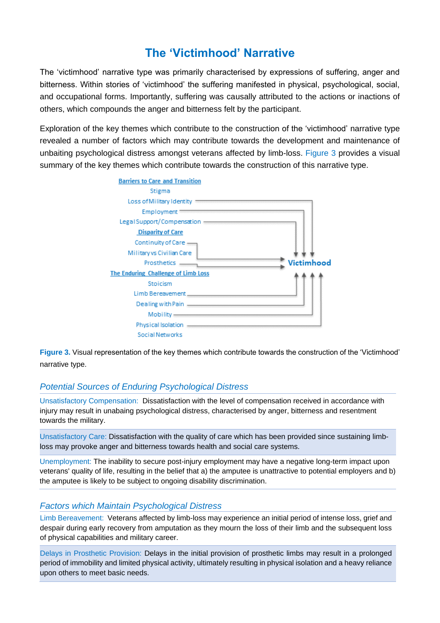# **The 'Victimhood' Narrative**

The 'victimhood' narrative type was primarily characterised by expressions of suffering, anger and bitterness. Within stories of 'victimhood' the suffering manifested in physical, psychological, social, and occupational forms. Importantly, suffering was causally attributed to the actions or inactions of others, which compounds the anger and bitterness felt by the participant.

Exploration of the key themes which contribute to the construction of the 'victimhood' narrative type revealed a number of factors which may contribute towards the development and maintenance of unbaiting psychological distress amongst veterans affected by limb-loss. Figure 3 provides a visual summary of the key themes which contribute towards the construction of this narrative type.



**Figure 3.** Visual representation of the key themes which contribute towards the construction of the 'Victimhood' narrative type.

## *Potential Sources of Enduring Psychological Distress*

Unsatisfactory Compensation: Dissatisfaction with the level of compensation received in accordance with injury may result in unabaing psychological distress, characterised by anger, bitterness and resentment towards the military.

Unsatisfactory Care: Dissatisfaction with the quality of care which has been provided since sustaining limbloss may provoke anger and bitterness towards health and social care systems.

Unemployment: The inability to secure post-injury employment may have a negative long-term impact upon veterans' quality of life, resulting in the belief that a) the amputee is unattractive to potential employers and b) the amputee is likely to be subject to ongoing disability discrimination.

#### *Factors which Maintain Psychological Distress*

Limb Bereavement: Veterans affected by limb-loss may experience an initial period of intense loss, grief and despair during early recovery from amputation as they mourn the loss of their limb and the subsequent loss of physical capabilities and military career.

Delays in Prosthetic Provision: Delays in the initial provision of prosthetic limbs may result in a prolonged period of immobility and limited physical activity, ultimately resulting in physical isolation and a heavy reliance upon others to meet basic needs.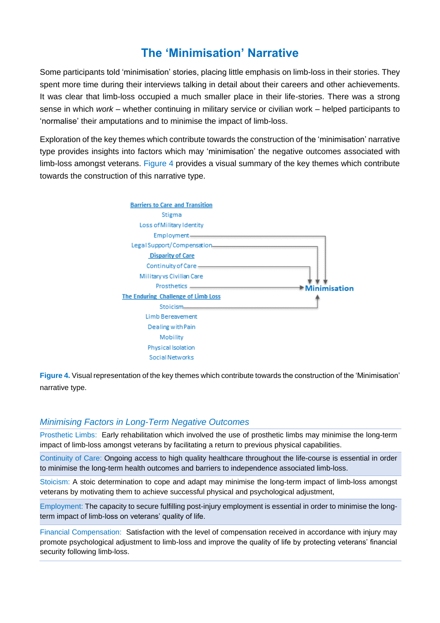# **The 'Minimisation' Narrative**

Some participants told 'minimisation' stories, placing little emphasis on limb-loss in their stories. They spent more time during their interviews talking in detail about their careers and other achievements. It was clear that limb-loss occupied a much smaller place in their life-stories. There was a strong sense in which *work* – whether continuing in military service or civilian work – helped participants to 'normalise' their amputations and to minimise the impact of limb-loss.

Exploration of the key themes which contribute towards the construction of the 'minimisation' narrative type provides insights into factors which may 'minimisation' the negative outcomes associated with limb-loss amongst veterans. Figure 4 provides a visual summary of the key themes which contribute towards the construction of this narrative type.



**Figure 4.** Visual representation of the key themes which contribute towards the construction of the 'Minimisation' narrative type.

### *Minimising Factors in Long-Term Negative Outcomes*

Prosthetic Limbs: Early rehabilitation which involved the use of prosthetic limbs may minimise the long-term impact of limb-loss amongst veterans by facilitating a return to previous physical capabilities.

Continuity of Care: Ongoing access to high quality healthcare throughout the life-course is essential in order to minimise the long-term health outcomes and barriers to independence associated limb-loss.

Stoicism: A stoic determination to cope and adapt may minimise the long-term impact of limb-loss amongst veterans by motivating them to achieve successful physical and psychological adjustment,

Employment: The capacity to secure fulfilling post-injury employment is essential in order to minimise the longterm impact of limb-loss on veterans' quality of life.

Financial Compensation: Satisfaction with the level of compensation received in accordance with injury may promote psychological adjustment to limb-loss and improve the quality of life by protecting veterans' financial security following limb-loss.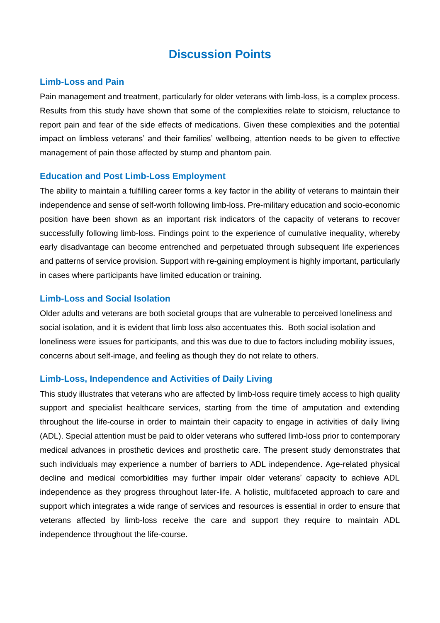# **Discussion Points**

#### **Limb-Loss and Pain**

Pain management and treatment, particularly for older veterans with limb-loss, is a complex process. Results from this study have shown that some of the complexities relate to stoicism, reluctance to report pain and fear of the side effects of medications. Given these complexities and the potential impact on limbless veterans' and their families' wellbeing, attention needs to be given to effective management of pain those affected by stump and phantom pain.

#### **Education and Post Limb-Loss Employment**

The ability to maintain a fulfilling career forms a key factor in the ability of veterans to maintain their independence and sense of self-worth following limb-loss. Pre-military education and socio-economic position have been shown as an important risk indicators of the capacity of veterans to recover successfully following limb-loss. Findings point to the experience of cumulative inequality, whereby early disadvantage can become entrenched and perpetuated through subsequent life experiences and patterns of service provision. Support with re-gaining employment is highly important, particularly in cases where participants have limited education or training.

#### **Limb-Loss and Social Isolation**

Older adults and veterans are both societal groups that are vulnerable to perceived loneliness and social isolation, and it is evident that limb loss also accentuates this. Both social isolation and loneliness were issues for participants, and this was due to due to factors including mobility issues, concerns about self-image, and feeling as though they do not relate to others.

### **Limb-Loss, Independence and Activities of Daily Living**

This study illustrates that veterans who are affected by limb-loss require timely access to high quality support and specialist healthcare services, starting from the time of amputation and extending throughout the life-course in order to maintain their capacity to engage in activities of daily living (ADL). Special attention must be paid to older veterans who suffered limb-loss prior to contemporary medical advances in prosthetic devices and prosthetic care. The present study demonstrates that such individuals may experience a number of barriers to ADL independence. Age-related physical decline and medical comorbidities may further impair older veterans' capacity to achieve ADL independence as they progress throughout later-life. A holistic, multifaceted approach to care and support which integrates a wide range of services and resources is essential in order to ensure that veterans affected by limb-loss receive the care and support they require to maintain ADL independence throughout the life-course.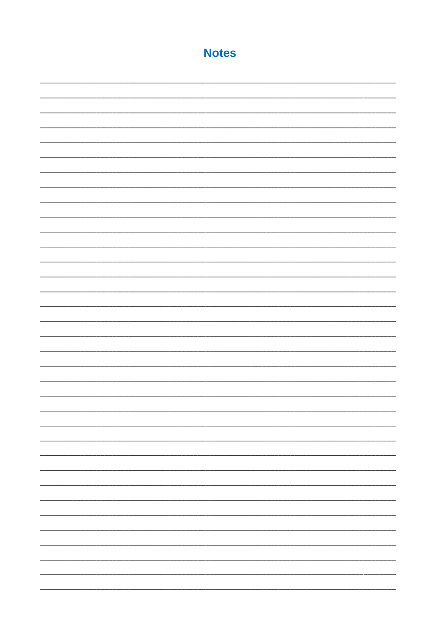# **Notes**